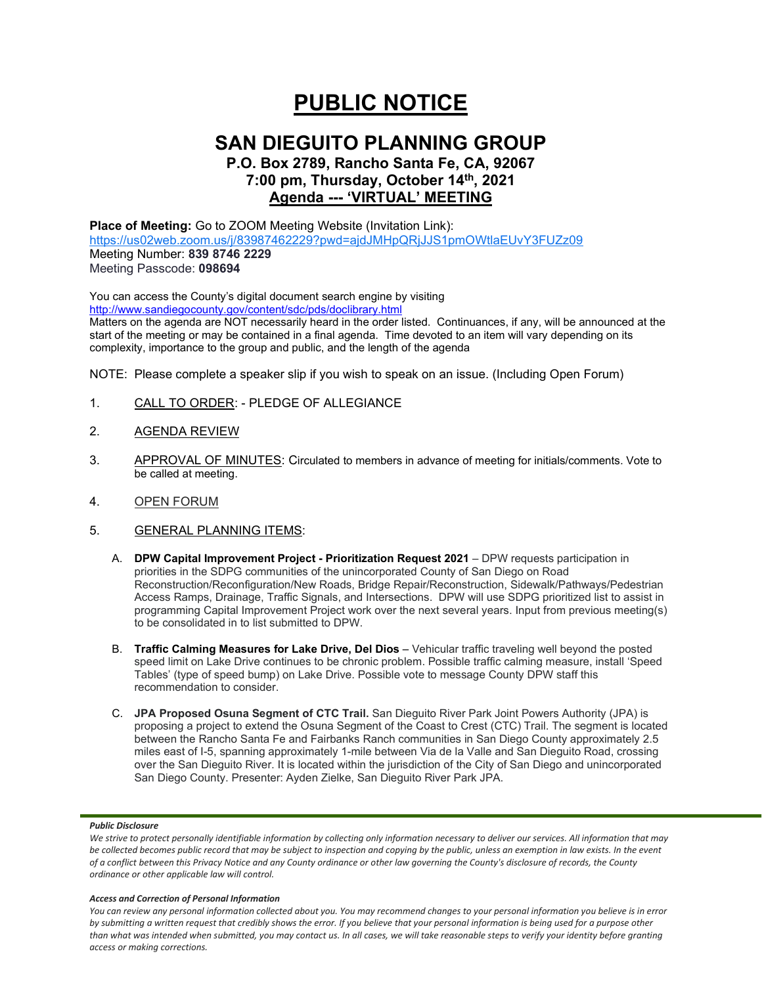# **PUBLIC NOTICE**

# **SAN DIEGUITO PLANNING GROUP**

## **P.O. Box 2789, Rancho Santa Fe, CA, 92067 7:00 pm, Thursday, October 14th, 2021 Agenda --- 'VIRTUAL' MEETING**

**Place of Meeting:** Go to ZOOM Meeting Website (Invitation Link): <https://us02web.zoom.us/j/83987462229?pwd=ajdJMHpQRjJJS1pmOWtlaEUvY3FUZz09> Meeting Number: **839 8746 2229** Meeting Passcode: **098694**

You can access the County's digital document search engine by visiting <http://www.sandiegocounty.gov/content/sdc/pds/doclibrary.html>

Matters on the agenda are NOT necessarily heard in the order listed. Continuances, if any, will be announced at the start of the meeting or may be contained in a final agenda. Time devoted to an item will vary depending on its complexity, importance to the group and public, and the length of the agenda

NOTE: Please complete a speaker slip if you wish to speak on an issue. (Including Open Forum)

- 1. CALL TO ORDER: PLEDGE OF ALLEGIANCE
- 2. AGENDA REVIEW
- 3. APPROVAL OF MINUTES: Circulated to members in advance of meeting for initials/comments. Vote to be called at meeting.
- 4. OPEN FORUM
- 5. GENERAL PLANNING ITEMS:
	- A. **DPW Capital Improvement Project - Prioritization Request 2021** DPW requests participation in priorities in the SDPG communities of the unincorporated County of San Diego on Road Reconstruction/Reconfiguration/New Roads, Bridge Repair/Reconstruction, Sidewalk/Pathways/Pedestrian Access Ramps, Drainage, Traffic Signals, and Intersections. DPW will use SDPG prioritized list to assist in programming Capital Improvement Project work over the next several years. Input from previous meeting(s) to be consolidated in to list submitted to DPW.
	- B. **Traffic Calming Measures for Lake Drive, Del Dios** Vehicular traffic traveling well beyond the posted speed limit on Lake Drive continues to be chronic problem. Possible traffic calming measure, install 'Speed Tables' (type of speed bump) on Lake Drive. Possible vote to message County DPW staff this recommendation to consider.
	- C. **JPA Proposed Osuna Segment of CTC Trail.** San Dieguito River Park Joint Powers Authority (JPA) is proposing a project to extend the Osuna Segment of the Coast to Crest (CTC) Trail. The segment is located between the Rancho Santa Fe and Fairbanks Ranch communities in San Diego County approximately 2.5 miles east of I-5, spanning approximately 1-mile between Via de la Valle and San Dieguito Road, crossing over the San Dieguito River. It is located within the jurisdiction of the City of San Diego and unincorporated San Diego County. Presenter: Ayden Zielke, San Dieguito River Park JPA.

#### *Public Disclosure*

#### *Access and Correction of Personal Information*

*You can review any personal information collected about you. You may recommend changes to your personal information you believe is in error by submitting a written request that credibly shows the error. If you believe that your personal information is being used for a purpose other than what was intended when submitted, you may contact us. In all cases, we will take reasonable steps to verify your identity before granting access or making corrections.*

We strive to protect personally identifiable information by collecting only information necessary to deliver our services. All information that may *be collected becomes public record that may be subject to inspection and copying by the public, unless an exemption in law exists. In the event of a conflict between this Privacy Notice and any County ordinance or other law governing the County's disclosure of records, the County ordinance or other applicable law will control.*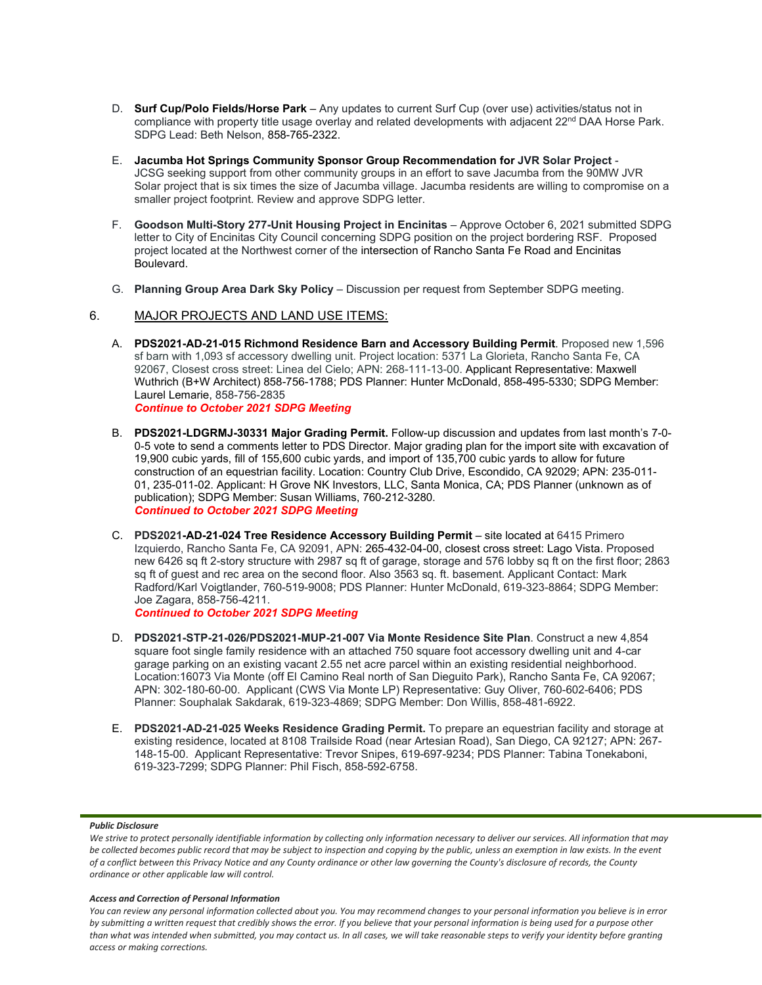- D. **Surf Cup/Polo Fields/Horse Park** Any updates to current Surf Cup (over use) activities/status not in compliance with property title usage overlay and related developments with adjacent 22<sup>nd</sup> DAA Horse Park. SDPG Lead: Beth Nelson, 858-765-2322.
- E. **Jacumba Hot Springs Community Sponsor Group Recommendation for JVR Solar Project** JCSG seeking support from other community groups in an effort to save Jacumba from the 90MW JVR Solar project that is six times the size of Jacumba village. Jacumba residents are willing to compromise on a smaller project footprint. Review and approve SDPG letter.
- F. **Goodson Multi-Story 277-Unit Housing Project in Encinitas** Approve October 6, 2021 submitted SDPG letter to City of Encinitas City Council concerning SDPG position on the project bordering RSF. Proposed project located at the Northwest corner of the intersection of Rancho Santa Fe Road and Encinitas Boulevard.
- G. **Planning Group Area Dark Sky Policy**  Discussion per request from September SDPG meeting.

### 6. MAJOR PROJECTS AND LAND USE ITEMS:

- A. **PDS2021-AD-21-015 Richmond Residence Barn and Accessory Building Permit**. Proposed new 1,596 sf barn with 1,093 sf accessory dwelling unit. Project location: 5371 La Glorieta, Rancho Santa Fe, CA 92067, Closest cross street: Linea del Cielo; APN: 268-111-13-00. Applicant Representative: Maxwell Wuthrich (B+W Architect) 858-756-1788; PDS Planner: Hunter McDonald, 858-495-5330; SDPG Member: Laurel Lemarie, 858-756-2835 *Continue to October 2021 SDPG Meeting*
- B. **PDS2021-LDGRMJ-30331 Major Grading Permit.** Follow-up discussion and updates from last month's 7-0- 0-5 vote to send a comments letter to PDS Director. Major grading plan for the import site with excavation of 19,900 cubic yards, fill of 155,600 cubic yards, and import of 135,700 cubic yards to allow for future construction of an equestrian facility. Location: Country Club Drive, Escondido, CA 92029; APN: 235-011- 01, 235-011-02. Applicant: H Grove NK Investors, LLC, Santa Monica, CA; PDS Planner (unknown as of publication); SDPG Member: Susan Williams, 760-212-3280. *Continued to October 2021 SDPG Meeting*
- C. **PDS2021-AD-21-024 Tree Residence Accessory Building Permit** site located at 6415 Primero Izquierdo, Rancho Santa Fe, CA 92091, APN: 265-432-04-00, closest cross street: Lago Vista. Proposed new 6426 sq ft 2-story structure with 2987 sq ft of garage, storage and 576 lobby sq ft on the first floor; 2863 sq ft of guest and rec area on the second floor. Also 3563 sq. ft. basement. Applicant Contact: Mark Radford/Karl Voigtlander, 760-519-9008; PDS Planner: Hunter McDonald, 619-323-8864; SDPG Member: Joe Zagara, 858-756-4211. *Continued to October 2021 SDPG Meeting*
- D. **PDS2021-STP-21-026/PDS2021-MUP-21-007 Via Monte Residence Site Plan**. Construct a new 4,854 square foot single family residence with an attached 750 square foot accessory dwelling unit and 4-car garage parking on an existing vacant 2.55 net acre parcel within an existing residential neighborhood. Location:16073 Via Monte (off El Camino Real north of San Dieguito Park), Rancho Santa Fe, CA 92067; APN: 302-180-60-00. Applicant (CWS Via Monte LP) Representative: Guy Oliver, 760-602-6406; PDS Planner: Souphalak Sakdarak, 619-323-4869; SDPG Member: Don Willis, 858-481-6922.
- E. **PDS2021-AD-21-025 Weeks Residence Grading Permit.** To prepare an equestrian facility and storage at existing residence, located at 8108 Trailside Road (near Artesian Road), San Diego, CA 92127; APN: 267- 148-15-00. Applicant Representative: Trevor Snipes, 619-697-9234; PDS Planner: Tabina Tonekaboni, 619-323-7299; SDPG Planner: Phil Fisch, 858-592-6758.

#### *Public Disclosure*

#### *Access and Correction of Personal Information*

*You can review any personal information collected about you. You may recommend changes to your personal information you believe is in error by submitting a written request that credibly shows the error. If you believe that your personal information is being used for a purpose other than what was intended when submitted, you may contact us. In all cases, we will take reasonable steps to verify your identity before granting access or making corrections.*

We strive to protect personally identifiable information by collecting only information necessary to deliver our services. All information that may *be collected becomes public record that may be subject to inspection and copying by the public, unless an exemption in law exists. In the event of a conflict between this Privacy Notice and any County ordinance or other law governing the County's disclosure of records, the County ordinance or other applicable law will control.*